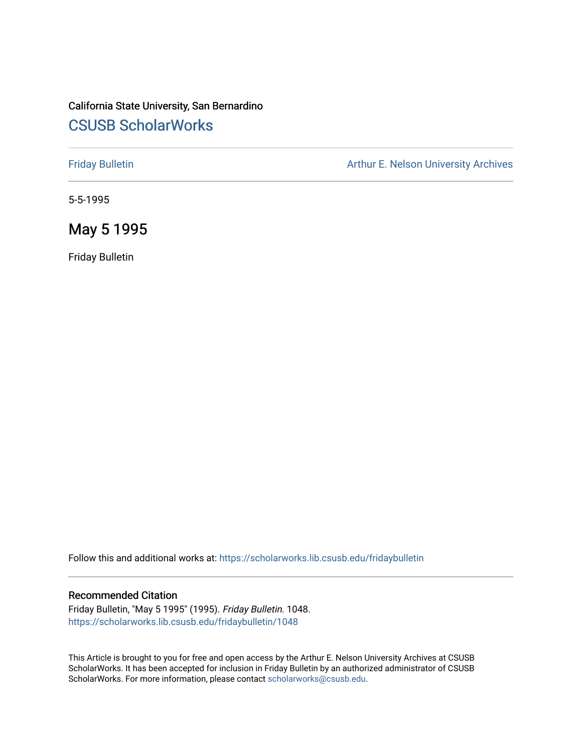# California State University, San Bernardino [CSUSB ScholarWorks](https://scholarworks.lib.csusb.edu/)

[Friday Bulletin](https://scholarworks.lib.csusb.edu/fridaybulletin) **Arthur E. Nelson University Archives** Arthur E. Nelson University Archives

5-5-1995

# May 5 1995

Friday Bulletin

Follow this and additional works at: [https://scholarworks.lib.csusb.edu/fridaybulletin](https://scholarworks.lib.csusb.edu/fridaybulletin?utm_source=scholarworks.lib.csusb.edu%2Ffridaybulletin%2F1048&utm_medium=PDF&utm_campaign=PDFCoverPages)

#### Recommended Citation

Friday Bulletin, "May 5 1995" (1995). Friday Bulletin. 1048. [https://scholarworks.lib.csusb.edu/fridaybulletin/1048](https://scholarworks.lib.csusb.edu/fridaybulletin/1048?utm_source=scholarworks.lib.csusb.edu%2Ffridaybulletin%2F1048&utm_medium=PDF&utm_campaign=PDFCoverPages) 

This Article is brought to you for free and open access by the Arthur E. Nelson University Archives at CSUSB ScholarWorks. It has been accepted for inclusion in Friday Bulletin by an authorized administrator of CSUSB ScholarWorks. For more information, please contact [scholarworks@csusb.edu.](mailto:scholarworks@csusb.edu)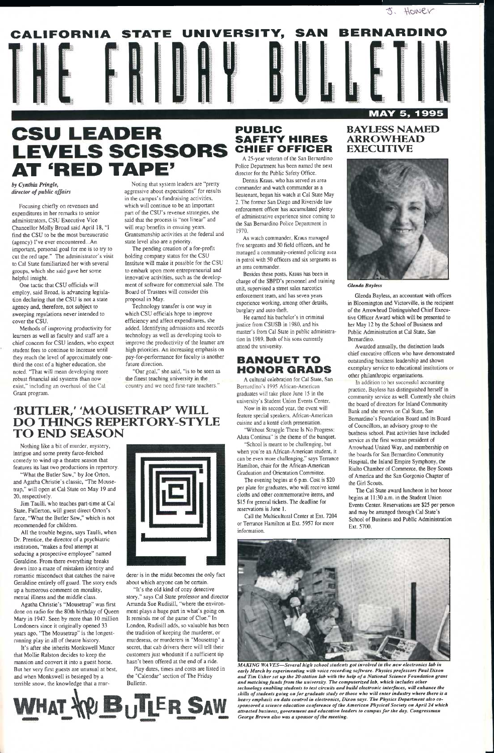*by Cynthia Pringle, director of public affairs* 

Focusing chiefly on revenues and expenditures in her remarks to senior administrators, CSU Executive Vice Chancellor Molly Broad said April 18, "I find the CSU to be the most bureaucratic (agency) I've ever encountered...An important, personal goal for me is to try to cut the red tape." The administrator's visit to Cal State familiarized her with several groups, which she said gave her some helpful insight.

One tactic that CSU officials will employ, said Broad, is advancing legislation declaring that the CSU is not a state agency and, therefore, not subject to sweeping regulations never intended to cover the CSU.

Methods of improving productivity for learners as well as faculty and staff are a chief concern for CSU leaders, who expect student fees to continue to increase until they reach the level of approximately onethird the cost of a higher education, she noted. 'That will mean developing more robust financial aid systems than now exist," including an overhaul of the Cal Grant program.

Noting that system leaders are "pretty aggressive about expectations" for results in the campus's fundraising activities, which will continue to be an important part of the CSU's revenue strategies, she said that the process is "not linear" and will reap benefits in ensuing years. Grantsmanship activities at the federal and state level also are a priority.

The pending creation of a for-profit holding company status for the CSU Institute will make it possible for the CSU to embark upon more entrepreneurial and innovative activities, such as the development of software for commercial sale. The Board of Trustees will consider this proposal in May.

Technology transfer is one way in which CSU officials hope to improve efficiency and affect expenditures, she added. Identifying admissions and records technology as well as developing tools to improve the productivity of the learner are high priorities. An increasing emphasis on pay-for-performance for faculty is another future direction.

"Our goal," she said, "is to be seen as the finest teaching university in the country and we need first-rate teachers."

# **BUTLER,' 'MOUSETRAP' WILL DO THINGS REPERTORY-STYLE TO END SEASON**

Nothing like a bit of murder, mystery, intrigue and some pretty farce-fetched comedy to wind up a theatre season that features its last two productions in repertory.

"What the Butler Saw," by Joe Orton, and Agatha Christie's classic, "The Mousetrap," will open at Cal State on May 19 and 20, respectively.

Jim Taulli, who teaches part-time at Cal State, Fullerton, will guest direct Orton's farce, "What the Butler Saw," which is not recommended for children.

All the trouble begins, says Taulli, when Dr. Prentice, the director of a psychiatric institution, "makes a foul attempt at seducing a prospective employee" named



Geraldine. From there everything breaks down into a maze of mistaken identity and romantic misconduct that catches the naive Geraldine entirely off guard. The story ends up a humorous comment on morality, mental illness and the middle class.



# **CSU LEADER LEVELS SCISSORS<br>AT 'RED TAPE'**

Agatha Christie's "Mousetrap" was first done on radio for the 80th birthday of Queen Mary in 1947. Seen by more than 10 million Londoners since it originally opened 33 years ago, "The Mousetrap" is the longestrunning play in all of theatre history.

It's after she inherits Monkswell Manor that Mollie Ralston decides to keep the mansion and convert it into a guest home. But her very first guests are unusual at best, and when Monkswell is besieged by a terrible snow, the knowledge that a mur-



derer is in the midst becomes the only fact about which anyone can be certain.

"It's the old kind of cozy detective story," says Cal State professor and director Amanda Sue Rudisill, "where the environment plays a huge part in what's going on. It reminds me of the game of Clue." In London, Rudisill adds, so valuable has been the tradition of keeping the murderer, or murderess, or murderers in "Mousetrap" a secret, that cab drivers there will tell their customers just whodunit if a sufficient tip hasn't been offered at the end of a ride.

Play dates, times and costs are listed in the "Calendar" section of The Friday Bulletin.

# **PUBLIC SAFETY HIRES CHIEF OFFICER**

A 25-year veteran of the San Bernardino Police Department has been named the next director for the Public Safety Office.

Dennis Kraus, who has served as area commander and watch commander as a lieutenant, began his watch at Cal State May 2. The former San Diego and Riverside law enforcement officer has accumulated plenty of administrative experience since coming to the San Bemardino Police Department in 1970.

As watch commander, Kraus managed five sergeants and 30 field officers, and he managed a community-oriented policing aiea in patrol with 50 officers and six sergeants as an area commander.

Besides these posts, Kraus has been in charge of the SBPD's personnel and training unit, supervised a street sales narcotics enforcement team, and has seven years experience working, among other details, burglary and auto theft.

He earned his bachelor's in criminal justice from CSUSB in 1980, and his master's from Cal State in public administration in 1989. Both of his sons currently attend the university.

# **BANQUET TO HONOR GRABS**

A cultural celebration for Cal State, San Bernardino's 1995 African-American graduates will take place June 15 in the university's Student Union Events Center, Now in its second year, the event will

feature special speakers, African-American cuisine and a kenté cloth presentation. "Without Struggle There Is No Progress;

Aluta Continua" is the theme of the banquet.

"School is meant to be challenging, but when you're an African-American student, it can be even more challenging," says Terrance Hamilton, chair for the African-American Graduation and Orientation Committee,

The evening begins at 6 p.m. Cost is \$20 per plate for graduates, who will receive kent6 cloths and other commemorative items, and \$15 for general tickets. The deadline for reservations is June 1.

Call the Multicultural Center at Ext. 7204 or Terrance Hamilton at Ext. 5957 for more information.

# **BAYLESS NAMED ARROWHEAD EXECUTIVE**

 $3.$  HOWER



*GUitda Bayless* 

Glenda Bayless, an accountant with offices in Bloomington and Victorville, is the recipient of the Arrowhead Distinguished Chief Executive Officer Award which will be presented to her May 12 by the School of Business and Public Administration at Cal State, San Bernardino.

Awarded annually, the distinction lauds chief executive officers who have demonstrated outstanding business leadership and shown exemplary service to educational institutions or other philanthropic organizations.

In addition to her successful accounting practice, Bayless has distinguished herself in community service as well. Currently she chairs the board of directors for Inland Community Bank and she serves on Cal State, San Bernardino's Foundation Board and its Board of Councillors, an advisory group to the business school. Past activities have included service as the first woman president of Arrowhead United Way, and membership on the boards for San Bernardino Community Hospital, the Inland Empire Symphony, the Rialto Chamber of Commerce, the Boy Scouts of America and the San Gorgonio Chapter of the Girl Scouts.

The Cal State award luncheon in her honor begins at 11:30 a.m. in the Student Union Events Center. Reservations are \$25 per person and may be arranged through Cal State's School of Business and Public Administration Ext. 5700.





*MAKING WA VES—Several high school students got involved in the new electronics lab in early March by experimenting with voice recording software. Physics professors Paul Dixon and Tim Usher set up the 20'Station lab with the help of a National Science Foundation grant and matching funds from the university. The computerized lab, which includes other technology enabling students to test circuits and build electronic interfaces, will enhance the skills of students going on for graduate study or those who will enter industry where there is a heavy emphasis on data control in electronics, Dixon says. The Physics Department also cosponsored a science education conference of the American Physical Society on April 24 which attracted business, government and education leaders to campus for the day. Congressman George Brown also was a sponsor of the meeting.*